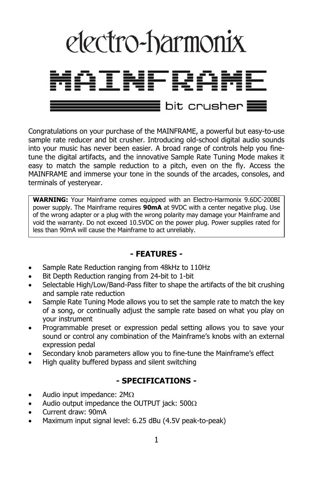

Congratulations on your purchase of the MAINFRAME, a powerful but easy-to-use sample rate reducer and bit crusher. Introducing old-school digital audio sounds into your music has never been easier. A broad range of controls help you finetune the digital artifacts, and the innovative Sample Rate Tuning Mode makes it easy to match the sample reduction to a pitch, even on the fly. Access the MAINFRAME and immerse your tone in the sounds of the arcades, consoles, and terminals of yesteryear.

**WARNING:** Your Mainframe comes equipped with an Electro-Harmonix 9.6DC-200BI power supply. The Mainframe requires **90mA** at 9VDC with a center negative plug. Use of the wrong adapter or a plug with the wrong polarity may damage your Mainframe and void the warranty. Do not exceed 10.5VDC on the power plug. Power supplies rated for less than 90mA will cause the Mainframe to act unreliably.

#### **- FEATURES -**

- Sample Rate Reduction ranging from 48kHz to 110Hz
- Bit Depth Reduction ranging from 24-bit to 1-bit
- Selectable High/Low/Band-Pass filter to shape the artifacts of the bit crushing and sample rate reduction
- Sample Rate Tuning Mode allows you to set the sample rate to match the key of a song, or continually adjust the sample rate based on what you play on your instrument
- Programmable preset or expression pedal setting allows you to save your sound or control any combination of the Mainframe's knobs with an external expression pedal
- Secondary knob parameters allow you to fine-tune the Mainframe's effect
- High quality buffered bypass and silent switching

#### **- SPECIFICATIONS -**

- Audio input impedance:  $2M\Omega$
- Audio output impedance the OUTPUT jack:  $500\Omega$
- Current draw: 90mA
- Maximum input signal level: 6.25 dBu (4.5V peak-to-peak)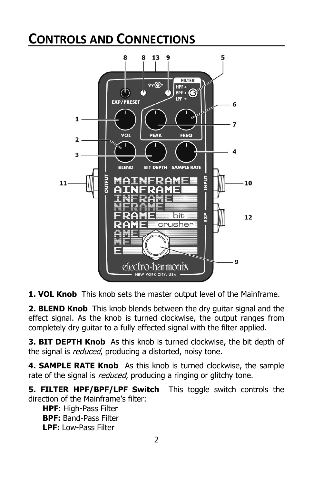# **CONTROLS AND CONNECTIONS**



**1. VOL Knob** This knob sets the master output level of the Mainframe.

**2. BLEND Knob** This knob blends between the dry guitar signal and the effect signal. As the knob is turned clockwise, the output ranges from completely dry guitar to a fully effected signal with the filter applied.

**3. BIT DEPTH Knob** As this knob is turned clockwise, the bit depth of the signal is *reduced*, producing a distorted, noisy tone.

**4. SAMPLE RATE Knob** As this knob is turned clockwise, the sample rate of the signal is *reduced*, producing a ringing or glitchy tone.

**5. FILTER HPF/BPF/LPF Switch** This toggle switch controls the direction of the Mainframe's filter:

**HPF**: High-Pass Filter **BPF:** Band-Pass Filter **LPF:** Low-Pass Filter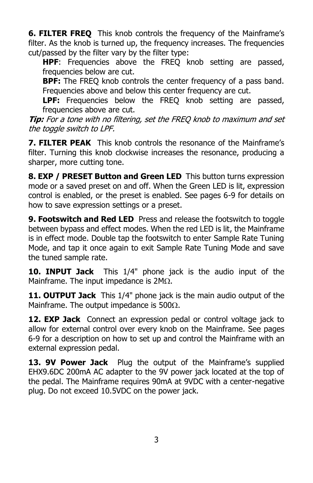**6. FILTER FREO** This knob controls the frequency of the Mainframe's filter. As the knob is turned up, the frequency increases. The frequencies cut/passed by the filter vary by the filter type:

**HPF**: Frequencies above the FREQ knob setting are passed, frequencies below are cut.

**BPF:** The FREQ knob controls the center frequency of a pass band. Frequencies above and below this center frequency are cut.

**LPF:** Frequencies below the FREQ knob setting are passed, frequencies above are cut.

**Tip:** For a tone with no filtering, set the FREQ knob to maximum and set the toggle switch to LPF.

**7. FILTER PEAK** This knob controls the resonance of the Mainframe's filter. Turning this knob clockwise increases the resonance, producing a sharper, more cutting tone.

**8. EXP / PRESET Button and Green LED** This button turns expression mode or a saved preset on and off. When the Green LED is lit, expression control is enabled, or the preset is enabled. See pages 6-9 for details on how to save expression settings or a preset.

**9. Footswitch and Red LED** Press and release the footswitch to toggle between bypass and effect modes. When the red LED is lit, the Mainframe is in effect mode. Double tap the footswitch to enter Sample Rate Tuning Mode, and tap it once again to exit Sample Rate Tuning Mode and save the tuned sample rate.

**10. INPUT Jack** This 1/4" phone jack is the audio input of the Mainframe. The input impedance is  $2M<sub>\Omega</sub>$ .

**11. OUTPUT Jack** This 1/4" phone jack is the main audio output of the Mainframe. The output impedance is  $500\Omega$ .

**12. EXP Jack** Connect an expression pedal or control voltage jack to allow for external control over every knob on the Mainframe. See pages 6-9 for a description on how to set up and control the Mainframe with an external expression pedal.

**13. 9V Power Jack** Plug the output of the Mainframe's supplied EHX9.6DC 200mA AC adapter to the 9V power jack located at the top of the pedal. The Mainframe requires 90mA at 9VDC with a center-negative plug. Do not exceed 10.5VDC on the power jack.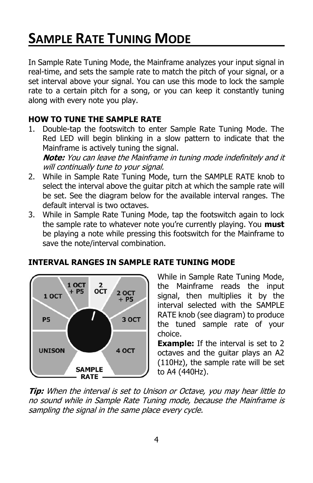# **SAMPLE RATE TUNING MODE**

In Sample Rate Tuning Mode, the Mainframe analyzes your input signal in real-time, and sets the sample rate to match the pitch of your signal, or a set interval above your signal. You can use this mode to lock the sample rate to a certain pitch for a song, or you can keep it constantly tuning along with every note you play.

# **HOW TO TUNE THE SAMPLE RATE**

- 1. Double-tap the footswitch to enter Sample Rate Tuning Mode. The Red LED will begin blinking in a slow pattern to indicate that the Mainframe is actively tuning the signal. **Note:** You can leave the Mainframe in tuning mode indefinitely and it will continually tune to your signal.
- 2. While in Sample Rate Tuning Mode, turn the SAMPLE RATE knob to select the interval above the guitar pitch at which the sample rate will be set. See the diagram below for the available interval ranges. The default interval is two octaves.
- 3. While in Sample Rate Tuning Mode, tap the footswitch again to lock the sample rate to whatever note you're currently playing. You **must** be playing a note while pressing this footswitch for the Mainframe to save the note/interval combination.



# **INTERVAL RANGES IN SAMPLE RATE TUNING MODE**

While in Sample Rate Tuning Mode, the Mainframe reads the input signal, then multiplies it by the interval selected with the SAMPLE RATE knob (see diagram) to produce the tuned sample rate of your choice.

**Example:** If the interval is set to 2 octaves and the guitar plays an A2 (110Hz), the sample rate will be set to A4 (440Hz).

**Tip:** When the interval is set to Unison or Octave, you may hear little to no sound while in Sample Rate Tuning mode, because the Mainframe is sampling the signal in the same place every cycle.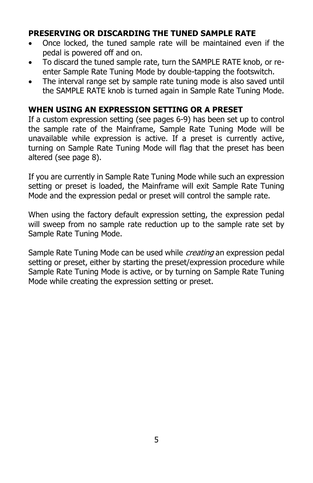#### **PRESERVING OR DISCARDING THE TUNED SAMPLE RATE**

- Once locked, the tuned sample rate will be maintained even if the pedal is powered off and on.
- To discard the tuned sample rate, turn the SAMPLE RATE knob, or reenter Sample Rate Tuning Mode by double-tapping the footswitch.
- The interval range set by sample rate tuning mode is also saved until the SAMPLE RATE knob is turned again in Sample Rate Tuning Mode.

#### **WHEN USING AN EXPRESSION SETTING OR A PRESET**

If a custom expression setting (see pages 6-9) has been set up to control the sample rate of the Mainframe, Sample Rate Tuning Mode will be unavailable while expression is active. If a preset is currently active, turning on Sample Rate Tuning Mode will flag that the preset has been altered (see page 8).

If you are currently in Sample Rate Tuning Mode while such an expression setting or preset is loaded, the Mainframe will exit Sample Rate Tuning Mode and the expression pedal or preset will control the sample rate.

When using the factory default expression setting, the expression pedal will sweep from no sample rate reduction up to the sample rate set by Sample Rate Tuning Mode.

Sample Rate Tuning Mode can be used while *creating* an expression pedal setting or preset, either by starting the preset/expression procedure while Sample Rate Tuning Mode is active, or by turning on Sample Rate Tuning Mode while creating the expression setting or preset.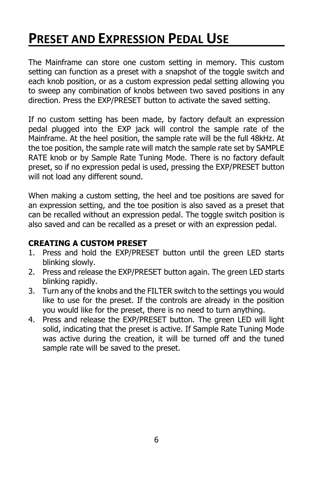# **PRESET AND EXPRESSION PEDAL USE**

The Mainframe can store one custom setting in memory. This custom setting can function as a preset with a snapshot of the toggle switch and each knob position, or as a custom expression pedal setting allowing you to sweep any combination of knobs between two saved positions in any direction. Press the EXP/PRESET button to activate the saved setting.

If no custom setting has been made, by factory default an expression pedal plugged into the EXP jack will control the sample rate of the Mainframe. At the heel position, the sample rate will be the full 48kHz. At the toe position, the sample rate will match the sample rate set by SAMPLE RATE knob or by Sample Rate Tuning Mode. There is no factory default preset, so if no expression pedal is used, pressing the EXP/PRESET button will not load any different sound.

When making a custom setting, the heel and toe positions are saved for an expression setting, and the toe position is also saved as a preset that can be recalled without an expression pedal. The toggle switch position is also saved and can be recalled as a preset or with an expression pedal.

### **CREATING A CUSTOM PRESET**

- 1. Press and hold the EXP/PRESET button until the green LED starts blinking slowly.
- 2. Press and release the EXP/PRESET button again. The green LED starts blinking rapidly.
- 3. Turn any of the knobs and the FILTER switch to the settings you would like to use for the preset. If the controls are already in the position you would like for the preset, there is no need to turn anything.
- 4. Press and release the EXP/PRESET button. The green LED will light solid, indicating that the preset is active. If Sample Rate Tuning Mode was active during the creation, it will be turned off and the tuned sample rate will be saved to the preset.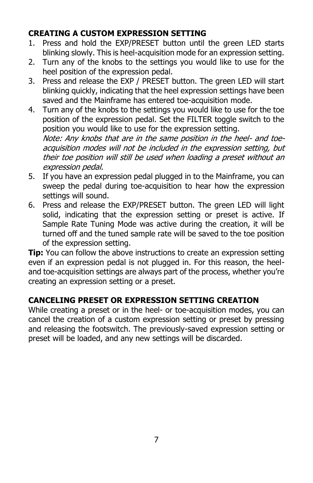# **CREATING A CUSTOM EXPRESSION SETTING**

- 1. Press and hold the EXP/PRESET button until the green LED starts blinking slowly. This is heel-acquisition mode for an expression setting.
- 2. Turn any of the knobs to the settings you would like to use for the heel position of the expression pedal.
- 3. Press and release the EXP / PRESET button. The green LED will start blinking quickly, indicating that the heel expression settings have been saved and the Mainframe has entered toe-acquisition mode.
- 4. Turn any of the knobs to the settings you would like to use for the toe position of the expression pedal. Set the FILTER toggle switch to the position you would like to use for the expression setting.

Note: Any knobs that are in the same position in the heel- and toeacquisition modes will not be included in the expression setting, but their toe position will still be used when loading a preset without an expression pedal.

- 5. If you have an expression pedal plugged in to the Mainframe, you can sweep the pedal during toe-acquisition to hear how the expression settings will sound.
- 6. Press and release the EXP/PRESET button. The green LED will light solid, indicating that the expression setting or preset is active. If Sample Rate Tuning Mode was active during the creation, it will be turned off and the tuned sample rate will be saved to the toe position of the expression setting.

**Tip:** You can follow the above instructions to create an expression setting even if an expression pedal is not plugged in. For this reason, the heeland toe-acquisition settings are always part of the process, whether you're creating an expression setting or a preset.

# **CANCELING PRESET OR EXPRESSION SETTING CREATION**

While creating a preset or in the heel- or toe-acquisition modes, you can cancel the creation of a custom expression setting or preset by pressing and releasing the footswitch. The previously-saved expression setting or preset will be loaded, and any new settings will be discarded.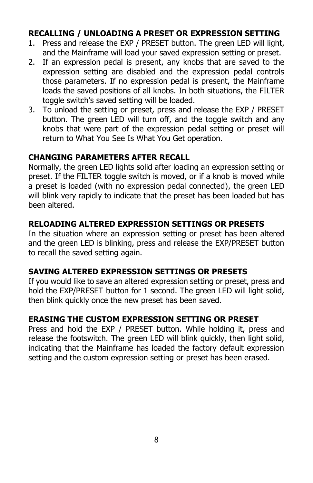### **RECALLING / UNLOADING A PRESET OR EXPRESSION SETTING**

- 1. Press and release the EXP / PRESET button. The green LED will light, and the Mainframe will load your saved expression setting or preset.
- 2. If an expression pedal is present, any knobs that are saved to the expression setting are disabled and the expression pedal controls those parameters. If no expression pedal is present, the Mainframe loads the saved positions of all knobs. In both situations, the FILTER toggle switch's saved setting will be loaded.
- 3. To unload the setting or preset, press and release the EXP / PRESET button. The green LED will turn off, and the toggle switch and any knobs that were part of the expression pedal setting or preset will return to What You See Is What You Get operation.

### **CHANGING PARAMETERS AFTER RECALL**

Normally, the green LED lights solid after loading an expression setting or preset. If the FILTER toggle switch is moved, or if a knob is moved while a preset is loaded (with no expression pedal connected), the green LED will blink very rapidly to indicate that the preset has been loaded but has been altered.

#### **RELOADING ALTERED EXPRESSION SETTINGS OR PRESETS**

In the situation where an expression setting or preset has been altered and the green LED is blinking, press and release the EXP/PRESET button to recall the saved setting again.

#### **SAVING ALTERED EXPRESSION SETTINGS OR PRESETS**

If you would like to save an altered expression setting or preset, press and hold the EXP/PRESET button for 1 second. The green LED will light solid, then blink quickly once the new preset has been saved.

# **ERASING THE CUSTOM EXPRESSION SETTING OR PRESET**

Press and hold the EXP / PRESET button. While holding it, press and release the footswitch. The green LED will blink quickly, then light solid, indicating that the Mainframe has loaded the factory default expression setting and the custom expression setting or preset has been erased.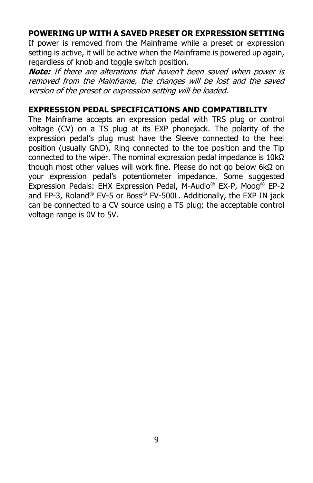#### **POWERING UP WITH A SAVED PRESET OR EXPRESSION SETTING**

If power is removed from the Mainframe while a preset or expression setting is active, it will be active when the Mainframe is powered up again, regardless of knob and toggle switch position.

**Note:** If there are alterations that haven't been saved when power is removed from the Mainframe, the changes will be lost and the saved version of the preset or expression setting will be loaded.

#### **EXPRESSION PEDAL SPECIFICATIONS AND COMPATIBILITY**

The Mainframe accepts an expression pedal with TRS plug or control voltage (CV) on a TS plug at its EXP phonejack. The polarity of the expression pedal's plug must have the Sleeve connected to the heel position (usually GND), Ring connected to the toe position and the Tip connected to the wiper. The nominal expression pedal impedance is 10kΩ though most other values will work fine. Please do not go below 6kΩ on your expression pedal's potentiometer impedance. Some suggested Expression Pedals: EHX Expression Pedal, M-Audio® EX-P, Moog® EP-2 and EP-3, Roland® EV-5 or Boss® FV-500L. Additionally, the EXP IN jack can be connected to a CV source using a TS plug; the acceptable control voltage range is 0V to 5V.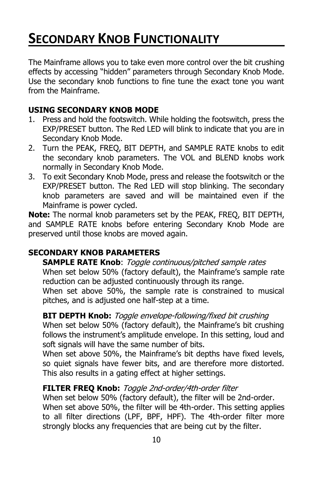# **SECONDARY KNOB FUNCTIONALITY**

The Mainframe allows you to take even more control over the bit crushing effects by accessing "hidden" parameters through Secondary Knob Mode. Use the secondary knob functions to fine tune the exact tone you want from the Mainframe.

#### **USING SECONDARY KNOB MODE**

- 1. Press and hold the footswitch. While holding the footswitch, press the EXP/PRESET button. The Red LED will blink to indicate that you are in Secondary Knob Mode.
- 2. Turn the PEAK, FREQ, BIT DEPTH, and SAMPLE RATE knobs to edit the secondary knob parameters. The VOL and BLEND knobs work normally in Secondary Knob Mode.
- 3. To exit Secondary Knob Mode, press and release the footswitch or the EXP/PRESET button. The Red LED will stop blinking. The secondary knob parameters are saved and will be maintained even if the Mainframe is power cycled.

**Note:** The normal knob parameters set by the PEAK, FREQ, BIT DEPTH, and SAMPLE RATE knobs before entering Secondary Knob Mode are preserved until those knobs are moved again.

#### **SECONDARY KNOB PARAMETERS**

**SAMPLE RATE Knob**: Toggle continuous/pitched sample rates When set below 50% (factory default), the Mainframe's sample rate reduction can be adjusted continuously through its range.

When set above 50%, the sample rate is constrained to musical pitches, and is adjusted one half-step at a time.

#### **BIT DEPTH Knob:** Toggle envelope-following/fixed bit crushing

When set below 50% (factory default), the Mainframe's bit crushing follows the instrument's amplitude envelope. In this setting, loud and soft signals will have the same number of bits.

When set above 50%, the Mainframe's bit depths have fixed levels, so quiet signals have fewer bits, and are therefore more distorted. This also results in a gating effect at higher settings.

#### **FILTER FREQ Knob:** Toggle 2nd-order/4th-order filter

When set below 50% (factory default), the filter will be 2nd-order. When set above 50%, the filter will be 4th-order. This setting applies to all filter directions (LPF, BPF, HPF). The 4th-order filter more strongly blocks any frequencies that are being cut by the filter.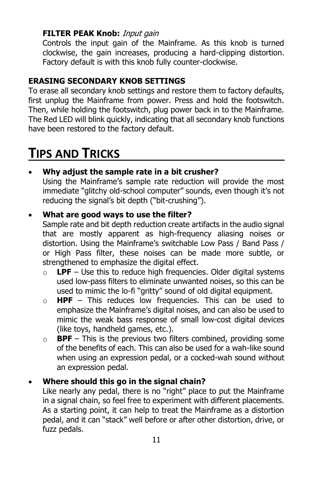### **FILTER PEAK Knob:** Input gain

Controls the input gain of the Mainframe. As this knob is turned clockwise, the gain increases, producing a hard-clipping distortion. Factory default is with this knob fully counter-clockwise.

# **ERASING SECONDARY KNOB SETTINGS**

To erase all secondary knob settings and restore them to factory defaults, first unplug the Mainframe from power. Press and hold the footswitch. Then, while holding the footswitch, plug power back in to the Mainframe. The Red LED will blink quickly, indicating that all secondary knob functions have been restored to the factory default.

# **TIPS AND TRICKS**

# • **Why adjust the sample rate in a bit crusher?**

Using the Mainframe's sample rate reduction will provide the most immediate "glitchy old-school computer" sounds, even though it's not reducing the signal's bit depth ("bit-crushing").

### • **What are good ways to use the filter?**

Sample rate and bit depth reduction create artifacts in the audio signal that are mostly apparent as high-frequency aliasing noises or distortion. Using the Mainframe's switchable Low Pass / Band Pass / or High Pass filter, these noises can be made more subtle, or strengthened to emphasize the digital effect.

- o **LPF** Use this to reduce high frequencies. Older digital systems used low-pass filters to eliminate unwanted noises, so this can be used to mimic the lo-fi "gritty" sound of old digital equipment.
- o **HPF** This reduces low frequencies. This can be used to emphasize the Mainframe's digital noises, and can also be used to mimic the weak bass response of small low-cost digital devices (like toys, handheld games, etc.).
- o **BPF** This is the previous two filters combined, providing some of the benefits of each. This can also be used for a wah-like sound when using an expression pedal, or a cocked-wah sound without an expression pedal.

# • **Where should this go in the signal chain?**

Like nearly any pedal, there is no "right" place to put the Mainframe in a signal chain, so feel free to experiment with different placements. As a starting point, it can help to treat the Mainframe as a distortion pedal, and it can "stack" well before or after other distortion, drive, or fuzz pedals.